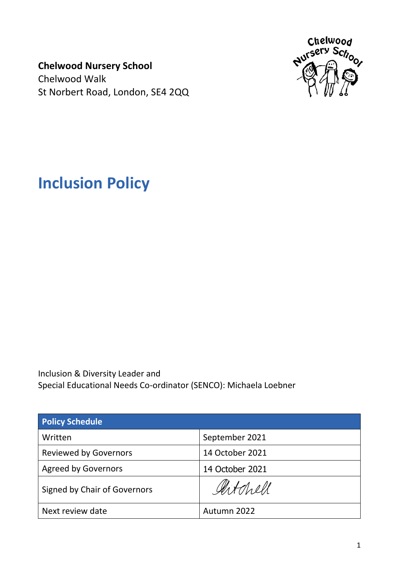**Chelwood Nursery School** Chelwood Walk St Norbert Road, London, SE4 2QQ



**Inclusion Policy**

Inclusion & Diversity Leader and Special Educational Needs Co-ordinator (SENCO): Michaela Loebner

| <b>Policy Schedule</b>       |                 |
|------------------------------|-----------------|
| Written                      | September 2021  |
| <b>Reviewed by Governors</b> | 14 October 2021 |
| <b>Agreed by Governors</b>   | 14 October 2021 |
| Signed by Chair of Governors | Artchell        |
| Next review date             | Autumn 2022     |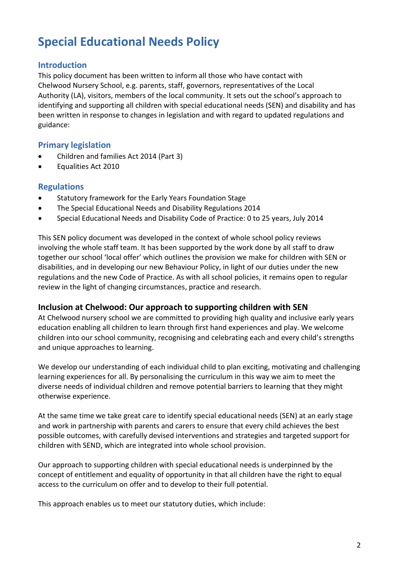# **Special Educational Needs Policy**

# **Introduction**

This policy document has been written to inform all those who have contact with Chelwood Nursery School, e.g. parents, staff, governors, representatives of the Local Authority (LA), visitors, members of the local community. It sets out the school's approach to identifying and supporting all children with special educational needs (SEN) and disability and has been written in response to changes in legislation and with regard to updated regulations and guidance:

# **Primary legislation**

- x Children and families Act 2014 (Part 3)
- **•** Equalities Act 2010

#### **Regulations**

- Statutory framework for the Early Years Foundation Stage
- The Special Educational Needs and Disability Regulations 2014
- Special Educational Needs and Disability Code of Practice: 0 to 25 years, July 2014

This SEN policy document was developed in the context of whole school policy reviews involving the whole staff team. It has been supported by the work done by all staff to draw together our school 'local offer' which outlines the provision we make for children with SEN or disabilities, and in developing our new Behaviour Policy, in light of our duties under the new regulations and the new Code of Practice. As with all school policies, it remains open to regular review in the light of changing circumstances, practice and research.

#### **Inclusion at Chelwood: Our approach to supporting children with SEN**

At Chelwood nursery school we are committed to providing high quality and inclusive early years education enabling all children to learn through first hand experiences and play. We welcome children into our school community, recognising and celebrating each and every child's strengths and unique approaches to learning.

We develop our understanding of each individual child to plan exciting, motivating and challenging learning experiences for all. By personalising the curriculum in this way we aim to meet the diverse needs of individual children and remove potential barriers to learning that they might otherwise experience.

At the same time we take great care to identify special educational needs (SEN) at an early stage and work in partnership with parents and carers to ensure that every child achieves the best possible outcomes, with carefully devised interventions and strategies and targeted support for children with SEND, which are integrated into whole school provision.

Our approach to supporting children with special educational needs is underpinned by the concept of entitlement and equality of opportunity in that all children have the right to equal access to the curriculum on offer and to develop to their full potential.

This approach enables us to meet our statutory duties, which include: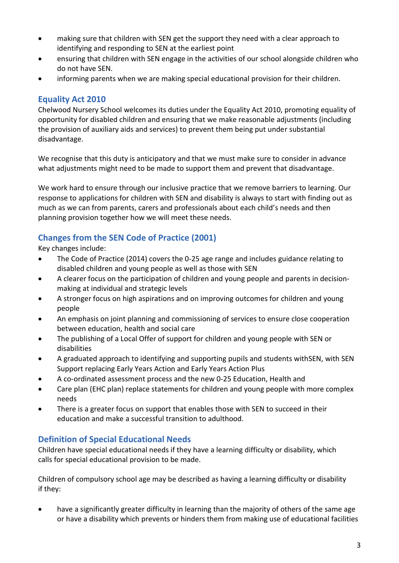- making sure that children with SEN get the support they need with a clear approach to identifying and responding to SEN at the earliest point
- ensuring that children with SEN engage in the activities of our school alongside children who do not have SEN.
- informing parents when we are making special educational provision for their children.

### **Equality Act 2010**

Chelwood Nursery School welcomes its duties under the Equality Act 2010, promoting equality of opportunity for disabled children and ensuring that we make reasonable adjustments (including the provision of auxiliary aids and services) to prevent them being put under substantial disadvantage.

We recognise that this duty is anticipatory and that we must make sure to consider in advance what adjustments might need to be made to support them and prevent that disadvantage.

We work hard to ensure through our inclusive practice that we remove barriers to learning. Our response to applications for children with SEN and disability is always to start with finding out as much as we can from parents, carers and professionals about each child's needs and then planning provision together how we will meet these needs.

# **Changes from the SEN Code of Practice (2001)**

Key changes include:

- The Code of Practice (2014) covers the 0-25 age range and includes guidance relating to disabled children and young people as well as those with SEN
- A clearer focus on the participation of children and young people and parents in decisionmaking at individual and strategic levels
- A stronger focus on high aspirations and on improving outcomes for children and young people
- An emphasis on joint planning and commissioning of services to ensure close cooperation between education, health and social care
- The publishing of a Local Offer of support for children and young people with SEN or disabilities
- A graduated approach to identifying and supporting pupils and students withSEN, with SEN Support replacing Early Years Action and Early Years Action Plus
- A co-ordinated assessment process and the new 0-25 Education, Health and
- Care plan (EHC plan) replace statements for children and young people with more complex needs
- There is a greater focus on support that enables those with SEN to succeed in their education and make a successful transition to adulthood.

# **Definition of Special Educational Needs**

Children have special educational needs if they have a learning difficulty or disability, which calls for special educational provision to be made.

Children of compulsory school age may be described as having a learning difficulty or disability if they:

• have a significantly greater difficulty in learning than the majority of others of the same age or have a disability which prevents or hinders them from making use of educational facilities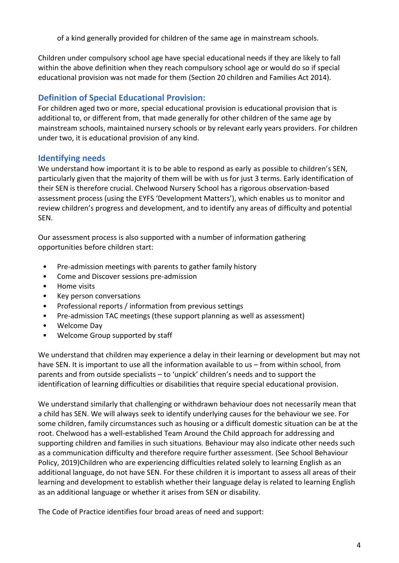of a kind generally provided for children of the same age in mainstream schools.

Children under compulsory school age have special educational needs if they are likely to fall within the above definition when they reach compulsory school age or would do so if special educational provision was not made for them (Section 20 children and Families Act 2014).

# **Definition of Special Educational Provision:**

For children aged two or more, special educational provision is educational provision that is additional to, or different from, that made generally for other children of the same age by mainstream schools, maintained nursery schools or by relevant early years providers. For children under two, it is educational provision of any kind.

# **Identifying needs**

We understand how important it is to be able to respond as early as possible to children's SEN, particularly given that the majority of them will be with us for just 3 terms. Early identification of their SEN is therefore crucial. Chelwood Nursery School has a rigorous observation-based assessment process (using the EYFS 'Development Matters'), which enables us to monitor and review children's progress and development, and to identify any areas of difficulty and potential SEN.

Our assessment process is also supported with a number of information gathering opportunities before children start:

- Pre-admission meetings with parents to gather family history
- Come and Discover sessions pre-admission
- Home visits
- Key person conversations
- Professional reports / information from previous settings
- Pre-admission TAC meetings (these support planning as well as assessment)
- Welcome Day
- Welcome Group supported by staff

We understand that children may experience a delay in their learning or development but may not have SEN. It is important to use all the information available to us – from within school, from parents and from outside specialists – to 'unpick' children's needs and to support the identification of learning difficulties or disabilities that require special educational provision.

We understand similarly that challenging or withdrawn behaviour does not necessarily mean that a child has SEN. We will always seek to identify underlying causes for the behaviour we see. For some children, family circumstances such as housing or a difficult domestic situation can be at the root. Chelwood has a well-established Team Around the Child approach for addressing and supporting children and families in such situations. Behaviour may also indicate other needs such as a communication difficulty and therefore require further assessment. (See School Behaviour Policy, 2019)Children who are experiencing difficulties related solely to learning English as an additional language, do not have SEN. For these children it is important to assess all areas of their learning and development to establish whether their language delay is related to learning English as an additional language or whether it arises from SEN or disability.

The Code of Practice identifies four broad areas of need and support: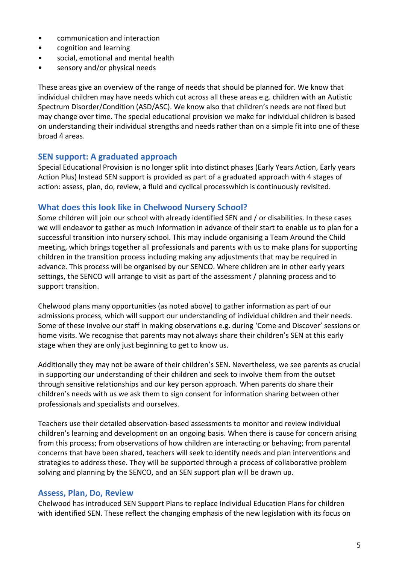- communication and interaction
- cognition and learning
- social, emotional and mental health
- sensory and/or physical needs

These areas give an overview of the range of needs that should be planned for. We know that individual children may have needs which cut across all these areas e.g. children with an Autistic Spectrum Disorder/Condition (ASD/ASC). We know also that children's needs are not fixed but may change over time. The special educational provision we make for individual children is based on understanding their individual strengths and needs rather than on a simple fit into one of these broad 4 areas.

#### **SEN support: A graduated approach**

Special Educational Provision is no longer split into distinct phases (Early Years Action, Early years Action Plus) Instead SEN support is provided as part of a graduated approach with 4 stages of action: assess, plan, do, review, a fluid and cyclical processwhich is continuously revisited.

#### **What does this look like in Chelwood Nursery School?**

Some children will join our school with already identified SEN and / or disabilities. In these cases we will endeavor to gather as much information in advance of their start to enable us to plan for a successful transition into nursery school. This may include organising a Team Around the Child meeting, which brings together all professionals and parents with us to make plans for supporting children in the transition process including making any adjustments that may be required in advance. This process will be organised by our SENCO. Where children are in other early years settings, the SENCO will arrange to visit as part of the assessment / planning process and to support transition.

Chelwood plans many opportunities (as noted above) to gather information as part of our admissions process, which will support our understanding of individual children and their needs. Some of these involve our staff in making observations e.g. during 'Come and Discover' sessions or home visits. We recognise that parents may not always share their children's SEN at this early stage when they are only just beginning to get to know us.

Additionally they may not be aware of their children's SEN. Nevertheless, we see parents as crucial in supporting our understanding of their children and seek to involve them from the outset through sensitive relationships and our key person approach. When parents do share their children's needs with us we ask them to sign consent for information sharing between other professionals and specialists and ourselves.

Teachers use their detailed observation-based assessments to monitor and review individual children's learning and development on an ongoing basis. When there is cause for concern arising from this process; from observations of how children are interacting or behaving; from parental concerns that have been shared, teachers will seek to identify needs and plan interventions and strategies to address these. They will be supported through a process of collaborative problem solving and planning by the SENCO, and an SEN support plan will be drawn up.

#### **Assess, Plan, Do, Review**

Chelwood has introduced SEN Support Plans to replace Individual Education Plans for children with identified SEN. These reflect the changing emphasis of the new legislation with its focus on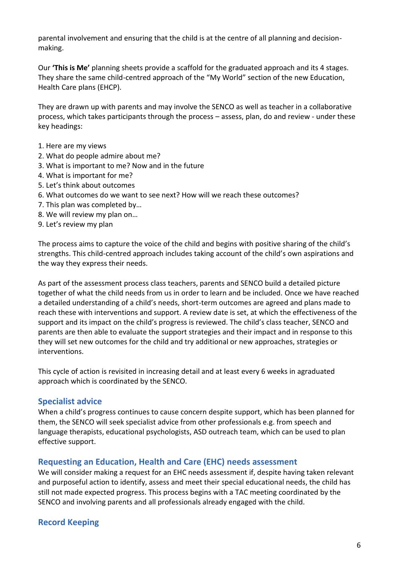parental involvement and ensuring that the child is at the centre of all planning and decisionmaking.

Our **'This is Me'** planning sheets provide a scaffold for the graduated approach and its 4 stages. They share the same child-centred approach of the "My World" section of the new Education, Health Care plans (EHCP).

They are drawn up with parents and may involve the SENCO as well as teacher in a collaborative process, which takes participants through the process – assess, plan, do and review - under these key headings:

- 1. Here are my views
- 2. What do people admire about me?
- 3. What is important to me? Now and in the future
- 4. What is important for me?
- 5. Let's think about outcomes
- 6. What outcomes do we want to see next? How will we reach these outcomes?
- 7. This plan was completed by…
- 8. We will review my plan on…
- 9. Let's review my plan

The process aims to capture the voice of the child and begins with positive sharing of the child's strengths. This child-centred approach includes taking account of the child's own aspirations and the way they express their needs.

As part of the assessment process class teachers, parents and SENCO build a detailed picture together of what the child needs from us in order to learn and be included. Once we have reached a detailed understanding of a child's needs, short-term outcomes are agreed and plans made to reach these with interventions and support. A review date is set, at which the effectiveness of the support and its impact on the child's progress is reviewed. The child's class teacher, SENCO and parents are then able to evaluate the support strategies and their impact and in response to this they will set new outcomes for the child and try additional or new approaches, strategies or interventions.

This cycle of action is revisited in increasing detail and at least every 6 weeks in agraduated approach which is coordinated by the SENCO.

#### **Specialist advice**

When a child's progress continues to cause concern despite support, which has been planned for them, the SENCO will seek specialist advice from other professionals e.g. from speech and language therapists, educational psychologists, ASD outreach team, which can be used to plan effective support.

#### **Requesting an Education, Health and Care (EHC) needs assessment**

We will consider making a request for an EHC needs assessment if, despite having taken relevant and purposeful action to identify, assess and meet their special educational needs, the child has still not made expected progress. This process begins with a TAC meeting coordinated by the SENCO and involving parents and all professionals already engaged with the child.

#### **Record Keeping**